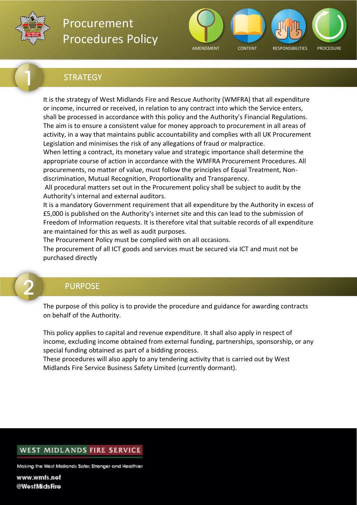



### **STRATEGY**

It is the strategy of West Midlands Fire and Rescue Authority (WMFRA) that all expenditure or income, incurred or received, in relation to any contract into which the Service enters, shall be processed in accordance with this policy and the Authority's Financial Regulations. The aim is to ensure a consistent value for money approach to procurement in all areas of activity, in a way that maintains public accountability and complies with all UK Procurement Legislation and minimises the risk of any allegations of fraud or malpractice.

When letting a contract, its monetary value and strategic importance shall determine the appropriate course of action in accordance with the WMFRA Procurement Procedures. All procurements, no matter of value, must follow the principles of Equal Treatment, Nondiscrimination, Mutual Recognition, Proportionality and Transparency.

 All procedural matters set out in the Procurement policy shall be subject to audit by the Authority's internal and external auditors.

It is a mandatory Government requirement that all expenditure by the Authority in excess of £5,000 is published on the Authority's internet site and this can lead to the submission of Freedom of Information requests. It is therefore vital that suitable records of all expenditure are maintained for this as well as audit purposes.

The Procurement Policy must be complied with on all occasions.

The procurement of all ICT goods and services must be secured via ICT and must not be purchased directly

### <span id="page-0-0"></span>PURPOSE

The purpose of this policy is to provide the procedure and guidance for awarding contracts on behalf of the Authority.

This policy applies to capital and revenue expenditure. It shall also apply in respect of income, excluding income obtained from external funding, partnerships, sponsorship, or any special funding obtained as part of a bidding process.

These procedures will also apply to any tendering activity that is carried out by West Midlands Fire Service Business Safety Limited (currently dormant).

#### WEST MIDLANDS FIRE SERVICE

Making the West Midlands Safer, Stronger and Healthier

www.wmfs.net @WestMidsFire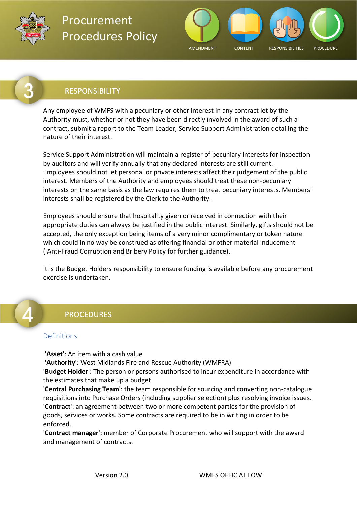



### <span id="page-1-0"></span>RESPONSIBILITY

Any employee of WMFS with a pecuniary or other interest in any contract let by the Authority must, whether or not they have been directly involved in the award of such a contract, submit a report to the Team Leader, Service Support Administration detailing the nature of their interest.

Service Support Administration will maintain a register of pecuniary interests for inspection by auditors and will verify annually that any declared interests are still current. Employees should not let personal or private interests affect their judgement of the public interest. Members of the Authority and employees should treat these non-pecuniary interests on the same basis as the law requires them to treat pecuniary interests. Members' interests shall be registered by the Clerk to the Authority.

Employees should ensure that hospitality given or received in connection with their appropriate duties can always be justified in the public interest. Similarly, gifts should not be accepted, the only exception being items of a very minor complimentary or token nature which could in no way be construed as offering financial or other material inducement ( Anti-Fraud Corruption and Bribery Policy for further guidance).

It is the Budget Holders responsibility to ensure funding is available before any procurement exercise is undertaken.

### <span id="page-1-1"></span>PROCEDURES

#### <span id="page-1-2"></span>Definitions

'**Asset**': An item with a cash value

 '**Authority**': West Midlands Fire and Rescue Authority (WMFRA)

'**Budget Holder**': The person or persons authorised to incur expenditure in accordance with the estimates that make up a budget.

'**Central Purchasing Team**': the team responsible for sourcing and converting non-catalogue requisitions into Purchase Orders (including supplier selection) plus resolving invoice issues. '**Contract**': an agreement between two or more competent parties for the provision of goods, services or works. Some contracts are required to be in writing in order to be enforced.

'**Contract manager**': member of Corporate Procurement who will support with the award and management of contracts.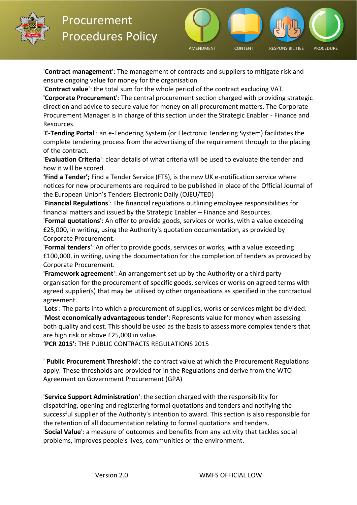



'**Contract management**': The management of contracts and suppliers to mitigate risk and ensure ongoing value for money for the organisation.

'**Contract value**': the total sum for the whole period of the contract excluding VAT.

**'Corporate Procurement**': The central procurement section charged with providing strategic direction and advice to secure value for money on all procurement matters. The Corporate Procurement Manager is in charge of this section under the Strategic Enabler - Finance and Resources.

'**E-Tending Portal**': an e-Tendering System (or Electronic Tendering System) facilitates the complete tendering process from the advertising of the requirement through to the placing of the contract.

'**Evaluation Criteria**': clear details of what criteria will be used to evaluate the tender and how it will be scored.

**'Find a Tender';** Find a Tender Service (FTS), is the new UK e-notification service where notices for new procurements are required to be published in place of the Official Journal of the European Union's Tenders Electronic Daily (OJEU/TED)

'**Financial Regulations**': The financial regulations outlining employee responsibilities for financial matters and issued by the Strategic Enabler – Finance and Resources.

'**Formal quotations**': An offer to provide goods, services or works, with a value exceeding £25,000, in writing, using the Authority's quotation documentation, as provided by Corporate Procurement.

'**Formal tenders'**: An offer to provide goods, services or works, with a value exceeding £100,000, in writing, using the documentation for the completion of tenders as provided by Corporate Procurement.

**'Framework agreement**': An arrangement set up by the Authority or a third party organisation for the procurement of specific goods, services or works on agreed terms with agreed supplier(s) that may be utilised by other organisations as specified in the contractual agreement.

'**Lots**': The parts into which a procurement of supplies, works or services might be divided. '**Most economically advantageous tender'**: Represents value for money when assessing both quality and cost. This should be used as the basis to assess more complex tenders that are high risk or above £25,000 in value.

'**PCR 2015'**: THE PUBLIC CONTRACTS REGULATIONS 2015

' **Public Procurement Threshold**': the contract value at which the Procurement Regulations apply. These thresholds are provided for in the Regulations and derive from the WTO Agreement on Government Procurement (GPA)

'**Service Support Administration**': the section charged with the responsibility for dispatching, opening and registering formal quotations and tenders and notifying the successful supplier of the Authority's intention to award. This section is also responsible for the retention of all documentation relating to formal quotations and tenders. '**Social Value**': a measure of outcomes and benefits from any activity that tackles social problems, improves people's lives, communities or the environment.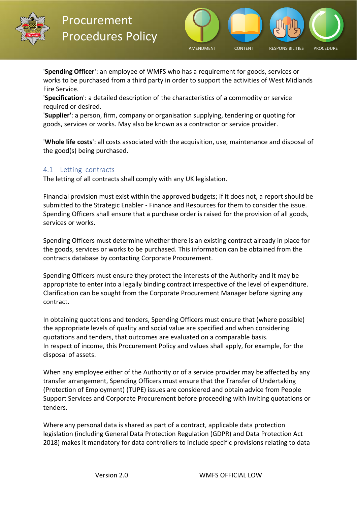



'**Spending Officer**': an employee of WMFS who has a requirement for goods, services or works to be purchased from a third party in order to support the activities of West Midlands Fire Service.

'**Specification**': a detailed description of the characteristics of a commodity or service required or desired.

'**Supplier'**: a person, firm, company or organisation supplying, tendering or quoting for goods, services or works. May also be known as a contractor or service provider.

'**Whole life costs**': all costs associated with the acquisition, use, maintenance and disposal of the good(s) being purchased.

#### <span id="page-3-0"></span>4.1    Letting contracts

The letting of all contracts shall comply with any UK legislation.

Financial provision must exist within the approved budgets; if it does not, a report should be submitted to the Strategic Enabler - Finance and Resources for them to consider the issue. Spending Officers shall ensure that a purchase order is raised for the provision of all goods, services or works.

Spending Officers must determine whether there is an existing contract already in place for the goods, services or works to be purchased. This information can be obtained from the contracts database by contacting Corporate Procurement.

Spending Officers must ensure they protect the interests of the Authority and it may be appropriate to enter into a legally binding contract irrespective of the level of expenditure. Clarification can be sought from the Corporate Procurement Manager before signing any contract.

In obtaining quotations and tenders, Spending Officers must ensure that (where possible) the appropriate levels of quality and social value are specified and when considering quotations and tenders, that outcomes are evaluated on a comparable basis. In respect of income, this Procurement Policy and values shall apply, for example, for the disposal of assets.

When any employee either of the Authority or of a service provider may be affected by any transfer arrangement, Spending Officers must ensure that the Transfer of Undertaking (Protection of Employment) (TUPE) issues are considered and obtain advice from People Support Services and Corporate Procurement before proceeding with inviting quotations or tenders.

Where any personal data is shared as part of a contract, applicable data protection legislation (including General Data Protection Regulation (GDPR) and Data Protection Act 2018) makes it mandatory for data controllers to include specific provisions relating to data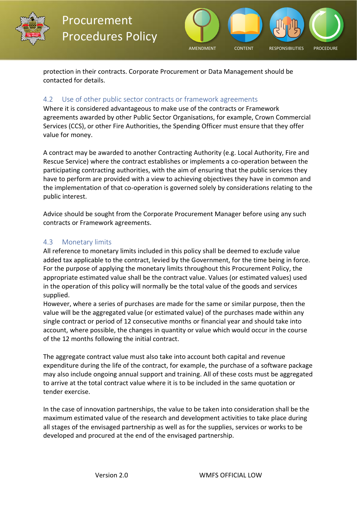



protection in their contracts. Corporate Procurement or Data Management should be contacted for details.

#### <span id="page-4-0"></span>4.2     Use of other public sector contracts or framework agreements

Where it is considered advantageous to make use of the contracts or Framework agreements awarded by other Public Sector Organisations, for example, Crown Commercial Services (CCS), or other Fire Authorities, the Spending Officer must ensure that they offer value for money.

A contract may be awarded to another Contracting Authority (e.g. Local Authority, Fire and Rescue Service) where the contract establishes or implements a co-operation between the participating contracting authorities, with the aim of ensuring that the public services they have to perform are provided with a view to achieving objectives they have in common and the implementation of that co-operation is governed solely by considerations relating to the public interest.

Advice should be sought from the Corporate Procurement Manager before using any such contracts or Framework agreements.

#### <span id="page-4-1"></span>4.3     Monetary limits

All reference to monetary limits included in this policy shall be deemed to exclude value added tax applicable to the contract, levied by the Government, for the time being in force. For the purpose of applying the monetary limits throughout this Procurement Policy, the appropriate estimated value shall be the contract value. Values (or estimated values) used in the operation of this policy will normally be the total value of the goods and services supplied.

However, where a series of purchases are made for the same or similar purpose, then the value will be the aggregated value (or estimated value) of the purchases made within any single contract or period of 12 consecutive months or financial year and should take into account, where possible, the changes in quantity or value which would occur in the course of the 12 months following the initial contract.

The aggregate contract value must also take into account both capital and revenue expenditure during the life of the contract, for example, the purchase of a software package may also include ongoing annual support and training. All of these costs must be aggregated to arrive at the total contract value where it is to be included in the same quotation or tender exercise.

In the case of innovation partnerships, the value to be taken into consideration shall be the maximum estimated value of the research and development activities to take place during all stages of the envisaged partnership as well as for the supplies, services or works to be developed and procured at the end of the envisaged partnership.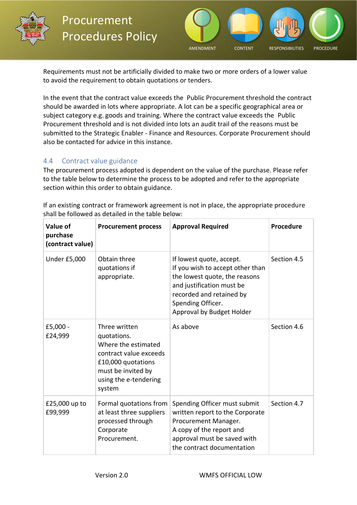



Requirements must not be artificially divided to make two or more orders of a lower value to avoid the requirement to obtain quotations or tenders.

In the event that the contract value exceeds the Public Procurement threshold the contract should be awarded in lots where appropriate. A lot can be a specific geographical area or subject category e.g. goods and training. Where the contract value exceeds the Public Procurement threshold and is not divided into lots an audit trail of the reasons must be submitted to the Strategic Enabler - Finance and Resources. Corporate Procurement should also be contacted for advice in this instance.

#### <span id="page-5-0"></span>4.4     Contract value guidance

The procurement process adopted is dependent on the value of the purchase. Please refer to the table below to determine the process to be adopted and refer to the appropriate section within this order to obtain guidance.

| Value of<br>purchase<br>(contract value) | <b>Procurement process</b>                                                                                                                                   | <b>Approval Required</b>                                                                                                                                                                                 | Procedure   |
|------------------------------------------|--------------------------------------------------------------------------------------------------------------------------------------------------------------|----------------------------------------------------------------------------------------------------------------------------------------------------------------------------------------------------------|-------------|
| Under £5,000                             | Obtain three<br>quotations if<br>appropriate.                                                                                                                | If lowest quote, accept.<br>If you wish to accept other than<br>the lowest quote, the reasons<br>and justification must be<br>recorded and retained by<br>Spending Officer.<br>Approval by Budget Holder | Section 4.5 |
| £5,000 -<br>£24,999                      | Three written<br>quotations.<br>Where the estimated<br>contract value exceeds<br>£10,000 quotations<br>must be invited by<br>using the e-tendering<br>system | As above                                                                                                                                                                                                 | Section 4.6 |
| £25,000 up to<br>£99,999                 | Formal quotations from<br>at least three suppliers<br>processed through<br>Corporate<br>Procurement.                                                         | Spending Officer must submit<br>written report to the Corporate<br>Procurement Manager.<br>A copy of the report and<br>approval must be saved with<br>the contract documentation                         | Section 4.7 |

If an existing contract or framework agreement is not in place, the appropriate procedure shall be followed as detailed in the table below: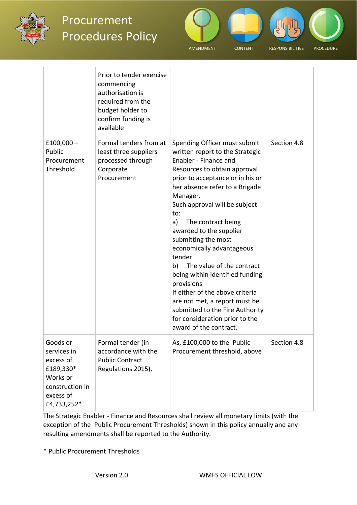



|                                                                                                              | Prior to tender exercise<br>commencing<br>authorisation is<br>required from the<br>budget holder to<br>confirm funding is<br>available |                                                                                                                                                                                                                                                                                                                                                                                                                                                                                                                                                                                                                             |             |
|--------------------------------------------------------------------------------------------------------------|----------------------------------------------------------------------------------------------------------------------------------------|-----------------------------------------------------------------------------------------------------------------------------------------------------------------------------------------------------------------------------------------------------------------------------------------------------------------------------------------------------------------------------------------------------------------------------------------------------------------------------------------------------------------------------------------------------------------------------------------------------------------------------|-------------|
| $£100,000-$<br>Public<br>Procurement<br>Threshold                                                            | Formal tenders from at<br>least three suppliers<br>processed through<br>Corporate<br>Procurement                                       | Spending Officer must submit<br>written report to the Strategic<br>Enabler - Finance and<br>Resources to obtain approval<br>prior to acceptance or in his or<br>her absence refer to a Brigade<br>Manager.<br>Such approval will be subject<br>to:<br>a)<br>The contract being<br>awarded to the supplier<br>submitting the most<br>economically advantageous<br>tender<br>b) The value of the contract<br>being within identified funding<br>provisions<br>If either of the above criteria<br>are not met, a report must be<br>submitted to the Fire Authority<br>for consideration prior to the<br>award of the contract. | Section 4.8 |
| Goods or<br>services in<br>excess of<br>£189,330*<br>Works or<br>construction in<br>excess of<br>£4,733,252* | Formal tender (in<br>accordance with the<br><b>Public Contract</b><br>Regulations 2015).                                               | As, £100,000 to the Public<br>Procurement threshold, above                                                                                                                                                                                                                                                                                                                                                                                                                                                                                                                                                                  | Section 4.8 |

The Strategic Enabler - Finance and Resources shall review all monetary limits (with the exception of the Public Procurement Thresholds) shown in this policy annually and any resulting amendments shall be reported to the Authority.

\* Public Procurement Thresholds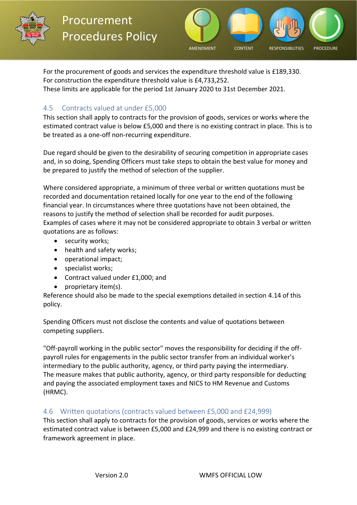



For the procurement of goods and services the expenditure threshold value is £189,330. For construction the expenditure threshold value is £4,733,252. These limits are applicable for the period 1st January 2020 to 31st December 2021.

#### <span id="page-7-0"></span>4.5     Contracts valued at under £5,000

This section shall apply to contracts for the provision of goods, services or works where the estimated contract value is below £5,000 and there is no existing contract in place. This is to be treated as a one-off non-recurring expenditure.

Due regard should be given to the desirability of securing competition in appropriate cases and, in so doing, Spending Officers must take steps to obtain the best value for money and be prepared to justify the method of selection of the supplier.

Where considered appropriate, a minimum of three verbal or written quotations must be recorded and documentation retained locally for one year to the end of the following financial year. In circumstances where three quotations have not been obtained, the reasons to justify the method of selection shall be recorded for audit purposes. Examples of cases where it may not be considered appropriate to obtain 3 verbal or written quotations are as follows:

- security works;
- health and safety works;
- operational impact;
- specialist works;
- Contract valued under £1,000; and
- proprietary item(s).

Reference should also be made to the special exemptions detailed in section 4.14 of this policy.

Spending Officers must not disclose the contents and value of quotations between competing suppliers.

"Off-payroll working in the public sector" moves the responsibility for deciding if the offpayroll rules for engagements in the public sector transfer from an individual worker's intermediary to the public authority, agency, or third party paying the intermediary. The measure makes that public authority, agency, or third party responsible for deducting and paying the associated employment taxes and NICS to HM Revenue and Customs (HRMC).

#### <span id="page-7-1"></span>4.6    Written quotations (contracts valued between £5,000 and £24,999)

This section shall apply to contracts for the provision of goods, services or works where the estimated contract value is between £5,000 and £24,999 and there is no existing contract or framework agreement in place.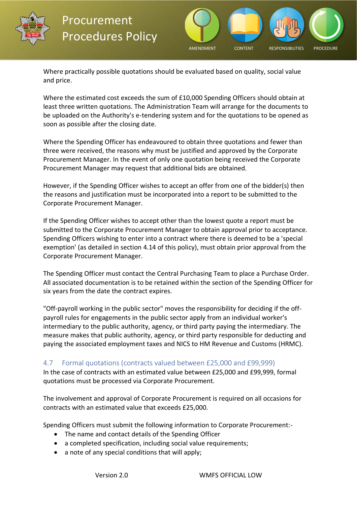



Where practically possible quotations should be evaluated based on quality, social value and price.

Where the estimated cost exceeds the sum of £10,000 Spending Officers should obtain at least three written quotations. The Administration Team will arrange for the documents to be uploaded on the Authority's e-tendering system and for the quotations to be opened as soon as possible after the closing date.

Where the Spending Officer has endeavoured to obtain three quotations and fewer than three were received, the reasons why must be justified and approved by the Corporate Procurement Manager. In the event of only one quotation being received the Corporate Procurement Manager may request that additional bids are obtained.

However, if the Spending Officer wishes to accept an offer from one of the bidder(s) then the reasons and justification must be incorporated into a report to be submitted to the Corporate Procurement Manager.

If the Spending Officer wishes to accept other than the lowest quote a report must be submitted to the Corporate Procurement Manager to obtain approval prior to acceptance. Spending Officers wishing to enter into a contract where there is deemed to be a 'special exemption' (as detailed in section 4.14 of this policy), must obtain prior approval from the Corporate Procurement Manager.

The Spending Officer must contact the Central Purchasing Team to place a Purchase Order. All associated documentation is to be retained within the section of the Spending Officer for six years from the date the contract expires.

"Off-payroll working in the public sector" moves the responsibility for deciding if the offpayroll rules for engagements in the public sector apply from an individual worker's intermediary to the public authority, agency, or third party paying the intermediary. The measure makes that public authority, agency, or third party responsible for deducting and paying the associated employment taxes and NICS to HM Revenue and Customs (HRMC).

#### <span id="page-8-0"></span>4.7     Formal quotations (contracts valued between £25,000 and £99,999)

In the case of contracts with an estimated value between £25,000 and £99,999, formal quotations must be processed via Corporate Procurement.

The involvement and approval of Corporate Procurement is required on all occasions for contracts with an estimated value that exceeds £25,000.

Spending Officers must submit the following information to Corporate Procurement:-

- The name and contact details of the Spending Officer
- a completed specification, including social value requirements;
- a note of any special conditions that will apply;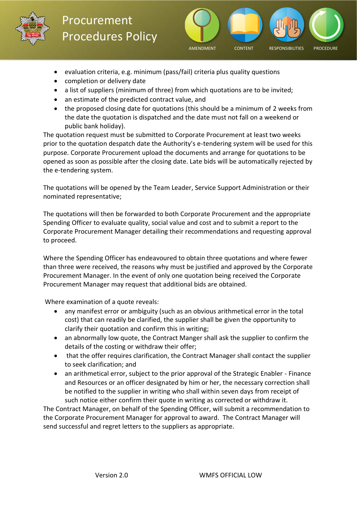



- evaluation criteria, e.g. minimum (pass/fail) criteria plus quality questions
- completion or delivery date
- a list of suppliers (minimum of three) from which quotations are to be invited;
- an estimate of the predicted contract value, and
- the proposed closing date for quotations (this should be a minimum of 2 weeks from the date the quotation is dispatched and the date must not fall on a weekend or public bank holiday).

The quotation request must be submitted to Corporate Procurement at least two weeks prior to the quotation despatch date the Authority's e-tendering system will be used for this purpose. Corporate Procurement upload the documents and arrange for quotations to be opened as soon as possible after the closing date. Late bids will be automatically rejected by the e-tendering system.

The quotations will be opened by the Team Leader, Service Support Administration or their nominated representative;

The quotations will then be forwarded to both Corporate Procurement and the appropriate Spending Officer to evaluate quality, social value and cost and to submit a report to the Corporate Procurement Manager detailing their recommendations and requesting approval to proceed.

Where the Spending Officer has endeavoured to obtain three quotations and where fewer than three were received, the reasons why must be justified and approved by the Corporate Procurement Manager. In the event of only one quotation being received the Corporate Procurement Manager may request that additional bids are obtained.

 Where examination of a quote reveals:

- any manifest error or ambiguity (such as an obvious arithmetical error in the total cost) that can readily be clarified, the supplier shall be given the opportunity to clarify their quotation and confirm this in writing;
- an abnormally low quote, the Contract Manger shall ask the supplier to confirm the details of the costing or withdraw their offer;
- that the offer requires clarification, the Contract Manager shall contact the supplier to seek clarification; and
- an arithmetical error, subject to the prior approval of the Strategic Enabler Finance and Resources or an officer designated by him or her, the necessary correction shall be notified to the supplier in writing who shall within seven days from receipt of such notice either confirm their quote in writing as corrected or withdraw it.

The Contract Manager, on behalf of the Spending Officer, will submit a recommendation to the Corporate Procurement Manager for approval to award. The Contract Manager will send successful and regret letters to the suppliers as appropriate.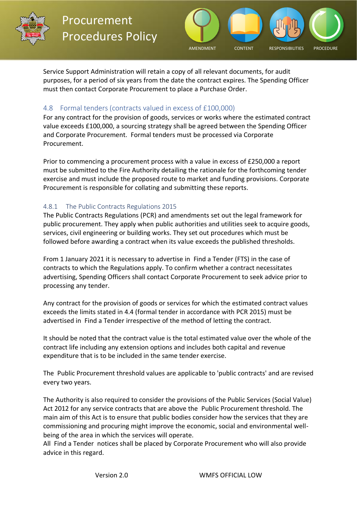



Service Support Administration will retain a copy of all relevant documents, for audit purposes, for a period of six years from the date the contract expires. The Spending Officer must then contact Corporate Procurement to place a Purchase Order.

#### <span id="page-10-0"></span>4.8    Formal tenders (contracts valued in excess of £100,000)

For any contract for the provision of goods, services or works where the estimated contract value exceeds £100,000, a sourcing strategy shall be agreed between the Spending Officer and Corporate Procurement. Formal tenders must be processed via Corporate Procurement.

Prior to commencing a procurement process with a value in excess of £250,000 a report must be submitted to the Fire Authority detailing the rationale for the forthcoming tender exercise and must include the proposed route to market and funding provisions. Corporate Procurement is responsible for collating and submitting these reports.

#### <span id="page-10-1"></span>4.8.1    The Public Contracts Regulations 2015

The Public Contracts Regulations (PCR) and amendments set out the legal framework for public procurement. They apply when public authorities and utilities seek to acquire goods, services, civil engineering or building works. They set out procedures which must be followed before awarding a contract when its value exceeds the published thresholds.

From 1 January 2021 it is necessary to advertise in Find a Tender (FTS) in the case of contracts to which the Regulations apply. To confirm whether a contract necessitates advertising, Spending Officers shall contact Corporate Procurement to seek advice prior to processing any tender.

Any contract for the provision of goods or services for which the estimated contract values exceeds the limits stated in 4.4 (formal tender in accordance with PCR 2015) must be advertised in Find a Tender irrespective of the method of letting the contract.

It should be noted that the contract value is the total estimated value over the whole of the contract life including any extension options and includes both capital and revenue expenditure that is to be included in the same tender exercise.

The Public Procurement threshold values are applicable to 'public contracts' and are revised every two years.

The Authority is also required to consider the provisions of the Public Services (Social Value) Act 2012 for any service contracts that are above the Public Procurement threshold. The main aim of this Act is to ensure that public bodies consider how the services that they are commissioning and procuring might improve the economic, social and environmental wellbeing of the area in which the services will operate.

All Find a Tender notices shall be placed by Corporate Procurement who will also provide advice in this regard.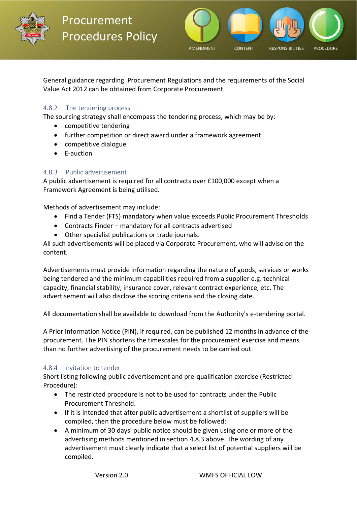



General guidance regarding Procurement Regulations and the requirements of the Social Value Act 2012 can be obtained from Corporate Procurement.

#### <span id="page-11-0"></span>4.8.2     The tendering process

The sourcing strategy shall encompass the tendering process, which may be by:

- competitive tendering
- further competition or direct award under a framework agreement
- competitive dialogue
- E-auction

#### <span id="page-11-1"></span>4.8.3     Public advertisement

A public advertisement is required for all contracts over £100,000 except when a Framework Agreement is being utilised.

Methods of advertisement may include:

- Find a Tender (FTS) mandatory when value exceeds Public Procurement Thresholds
- Contracts Finder mandatory for all contracts advertised
- Other specialist publications or trade journals.

All such advertisements will be placed via Corporate Procurement, who will advise on the content.

Advertisements must provide information regarding the nature of goods, services or works being tendered and the minimum capabilities required from a supplier e.g. technical capacity, financial stability, insurance cover, relevant contract experience, etc. The advertisement will also disclose the scoring criteria and the closing date.

All documentation shall be available to download from the Authority's e-tendering portal.

A Prior Information Notice (PIN), if required, can be published 12 months in advance of the procurement. The PIN shortens the timescales for the procurement exercise and means than no further advertising of the procurement needs to be carried out.

#### <span id="page-11-2"></span>4.8.4    Invitation to tender

Short listing following public advertisement and pre-qualification exercise (Restricted Procedure):

- The restricted procedure is not to be used for contracts under the Public Procurement Threshold.
- If it is intended that after public advertisement a shortlist of suppliers will be compiled, then the procedure below must be followed:
- A minimum of 30 days' public notice should be given using one or more of the advertising methods mentioned in section 4.8.3 above. The wording of any advertisement must clearly indicate that a select list of potential suppliers will be compiled.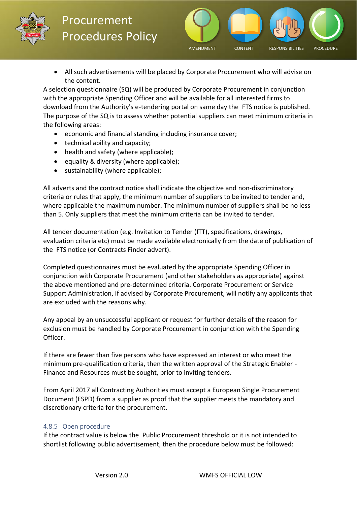



• All such advertisements will be placed by Corporate Procurement who will advise on the content.

A selection questionnaire (SQ) will be produced by Corporate Procurement in conjunction with the appropriate Spending Officer and will be available for all interested firms to download from the Authority's e-tendering portal on same day the FTS notice is published. The purpose of the SQ is to assess whether potential suppliers can meet minimum criteria in the following areas:

- economic and financial standing including insurance cover;
- technical ability and capacity;
- health and safety (where applicable);
- equality & diversity (where applicable);
- sustainability (where applicable);

All adverts and the contract notice shall indicate the objective and non-discriminatory criteria or rules that apply, the minimum number of suppliers to be invited to tender and, where applicable the maximum number. The minimum number of suppliers shall be no less than 5. Only suppliers that meet the minimum criteria can be invited to tender.

All tender documentation (e.g. Invitation to Tender (ITT), specifications, drawings, evaluation criteria etc) must be made available electronically from the date of publication of the FTS notice (or Contracts Finder advert).

Completed questionnaires must be evaluated by the appropriate Spending Officer in conjunction with Corporate Procurement (and other stakeholders as appropriate) against the above mentioned and pre-determined criteria. Corporate Procurement or Service Support Administration, if advised by Corporate Procurement, will notify any applicants that are excluded with the reasons why.

Any appeal by an unsuccessful applicant or request for further details of the reason for exclusion must be handled by Corporate Procurement in conjunction with the Spending Officer.

If there are fewer than five persons who have expressed an interest or who meet the minimum pre-qualification criteria, then the written approval of the Strategic Enabler - Finance and Resources must be sought, prior to inviting tenders.

From April 2017 all Contracting Authorities must accept a European Single Procurement Document (ESPD) from a supplier as proof that the supplier meets the mandatory and discretionary criteria for the procurement.

#### <span id="page-12-0"></span>4.8.5   Open procedure

If the contract value is below the Public Procurement threshold or it is not intended to shortlist following public advertisement, then the procedure below must be followed: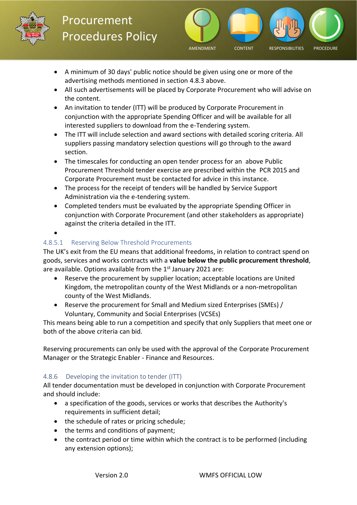



- A minimum of 30 days' public notice should be given using one or more of the advertising methods mentioned in section 4.8.3 above.
- All such advertisements will be placed by Corporate Procurement who will advise on the content.
- An invitation to tender (ITT) will be produced by Corporate Procurement in conjunction with the appropriate Spending Officer and will be available for all interested suppliers to download from the e-Tendering system.
- The ITT will include selection and award sections with detailed scoring criteria. All suppliers passing mandatory selection questions will go through to the award section.
- The timescales for conducting an open tender process for an above Public Procurement Threshold tender exercise are prescribed within the PCR 2015 and Corporate Procurement must be contacted for advice in this instance.
- The process for the receipt of tenders will be handled by Service Support Administration via the e-tendering system.
- Completed tenders must be evaluated by the appropriate Spending Officer in conjunction with Corporate Procurement (and other stakeholders as appropriate) against the criteria detailed in the ITT.
- •

### 4.8.5.1     Reserving Below Threshold Procurements

The UK's exit from the EU means that additional freedoms, in relation to contract spend on goods, services and works contracts with a **value below the public procurement threshold**, are available. Options available from the  $1<sup>st</sup>$  January 2021 are:

- Reserve the procurement by supplier location; acceptable locations are United Kingdom, the metropolitan county of the West Midlands or a non-metropolitan county of the West Midlands.
- Reserve the procurement for Small and Medium sized Enterprises (SMEs) / Voluntary, Community and Social Enterprises (VCSEs)

This means being able to run a competition and specify that only Suppliers that meet one or both of the above criteria can bid.

Reserving procurements can only be used with the approval of the Corporate Procurement Manager or the Strategic Enabler - Finance and Resources.

#### <span id="page-13-0"></span>4.8.6     Developing the invitation to tender (ITT)

All tender documentation must be developed in conjunction with Corporate Procurement and should include:

- a specification of the goods, services or works that describes the Authority's requirements in sufficient detail;
- the schedule of rates or pricing schedule;
- the terms and conditions of payment;
- the contract period or time within which the contract is to be performed (including any extension options);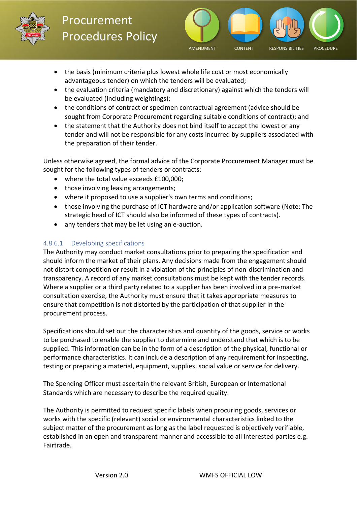



- the basis (minimum criteria plus lowest whole life cost or most economically advantageous tender) on which the tenders will be evaluated;
- the evaluation criteria (mandatory and discretionary) against which the tenders will be evaluated (including weightings);
- the conditions of contract or specimen contractual agreement (advice should be sought from Corporate Procurement regarding suitable conditions of contract); and
- the statement that the Authority does not bind itself to accept the lowest or any tender and will not be responsible for any costs incurred by suppliers associated with the preparation of their tender.

Unless otherwise agreed, the formal advice of the Corporate Procurement Manager must be sought for the following types of tenders or contracts:

- where the total value exceeds £100,000;
- those involving leasing arrangements:
- where it proposed to use a supplier's own terms and conditions;
- those involving the purchase of ICT hardware and/or application software (Note: The strategic head of ICT should also be informed of these types of contracts).
- any tenders that may be let using an e-auction.

#### 4.8.6.1     Developing specifications

The Authority may conduct market consultations prior to preparing the specification and should inform the market of their plans. Any decisions made from the engagement should not distort competition or result in a violation of the principles of non-discrimination and transparency. A record of any market consultations must be kept with the tender records. Where a supplier or a third party related to a supplier has been involved in a pre-market consultation exercise, the Authority must ensure that it takes appropriate measures to ensure that competition is not distorted by the participation of that supplier in the procurement process.

Specifications should set out the characteristics and quantity of the goods, service or works to be purchased to enable the supplier to determine and understand that which is to be supplied. This information can be in the form of a description of the physical, functional or performance characteristics. It can include a description of any requirement for inspecting, testing or preparing a material, equipment, supplies, social value or service for delivery.

The Spending Officer must ascertain the relevant British, European or International Standards which are necessary to describe the required quality.

The Authority is permitted to request specific labels when procuring goods, services or works with the specific (relevant) social or environmental characteristics linked to the subject matter of the procurement as long as the label requested is objectively verifiable, established in an open and transparent manner and accessible to all interested parties e.g. Fairtrade.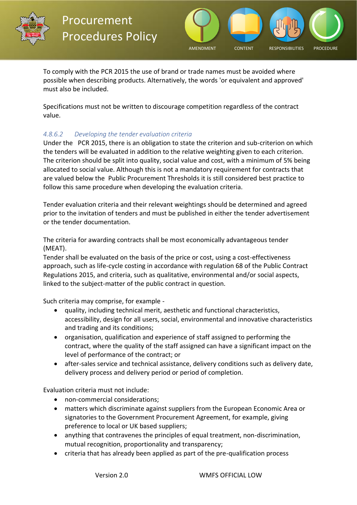



To comply with the PCR 2015 the use of brand or trade names must be avoided where possible when describing products. Alternatively, the words 'or equivalent and approved' must also be included.

Specifications must not be written to discourage competition regardless of the contract value.

#### *4.8.6.2       Developing the tender evaluation criteria*

Under the PCR 2015, there is an obligation to state the criterion and sub-criterion on which the tenders will be evaluated in addition to the relative weighting given to each criterion. The criterion should be split into quality, social value and cost, with a minimum of 5% being allocated to social value. Although this is not a mandatory requirement for contracts that are valued below the Public Procurement Thresholds it is still considered best practice to follow this same procedure when developing the evaluation criteria.

Tender evaluation criteria and their relevant weightings should be determined and agreed prior to the invitation of tenders and must be published in either the tender advertisement or the tender documentation.

The criteria for awarding contracts shall be most economically advantageous tender (MEAT).

Tender shall be evaluated on the basis of the price or cost, using a cost-effectiveness approach, such as life-cycle costing in accordance with regulation 68 of the Public Contract Regulations 2015, and criteria, such as qualitative, environmental and/or social aspects, linked to the subject-matter of the public contract in question.

Such criteria may comprise, for example -

- quality, including technical merit, aesthetic and functional characteristics, accessibility, design for all users, social, environmental and innovative characteristics and trading and its conditions;
- organisation, qualification and experience of staff assigned to performing the contract, where the quality of the staff assigned can have a significant impact on the level of performance of the contract; or
- after-sales service and technical assistance, delivery conditions such as delivery date, delivery process and delivery period or period of completion.

Evaluation criteria must not include:

- non-commercial considerations;
- matters which discriminate against suppliers from the European Economic Area or signatories to the Government Procurement Agreement, for example, giving preference to local or UK based suppliers;
- anything that contravenes the principles of equal treatment, non-discrimination, mutual recognition, proportionality and transparency;
- criteria that has already been applied as part of the pre-qualification process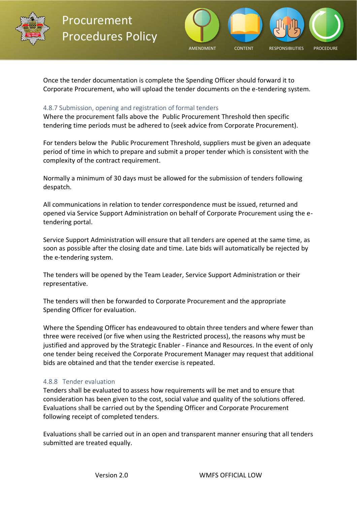



Once the tender documentation is complete the Spending Officer should forward it to Corporate Procurement, who will upload the tender documents on the e-tendering system.

#### <span id="page-16-0"></span>4.8.7 Submission, opening and registration of formal tenders

Where the procurement falls above the Public Procurement Threshold then specific tendering time periods must be adhered to (seek advice from Corporate Procurement).

For tenders below the Public Procurement Threshold, suppliers must be given an adequate period of time in which to prepare and submit a proper tender which is consistent with the complexity of the contract requirement.

Normally a minimum of 30 days must be allowed for the submission of tenders following despatch.

All communications in relation to tender correspondence must be issued, returned and opened via Service Support Administration on behalf of Corporate Procurement using the etendering portal.

Service Support Administration will ensure that all tenders are opened at the same time, as soon as possible after the closing date and time. Late bids will automatically be rejected by the e-tendering system.

The tenders will be opened by the Team Leader, Service Support Administration or their representative.

The tenders will then be forwarded to Corporate Procurement and the appropriate Spending Officer for evaluation.

Where the Spending Officer has endeavoured to obtain three tenders and where fewer than three were received (or five when using the Restricted process), the reasons why must be justified and approved by the Strategic Enabler - Finance and Resources. In the event of only one tender being received the Corporate Procurement Manager may request that additional bids are obtained and that the tender exercise is repeated.

#### <span id="page-16-1"></span>4.8.8   Tender evaluation

Tenders shall be evaluated to assess how requirements will be met and to ensure that consideration has been given to the cost, social value and quality of the solutions offered. Evaluations shall be carried out by the Spending Officer and Corporate Procurement following receipt of completed tenders.

Evaluations shall be carried out in an open and transparent manner ensuring that all tenders submitted are treated equally.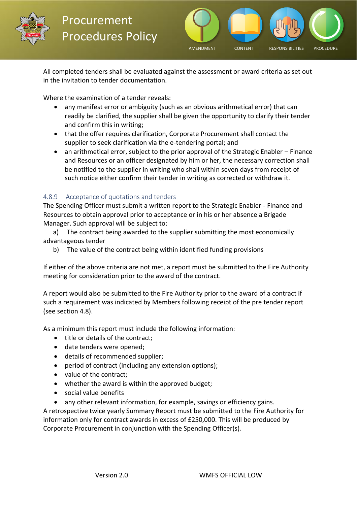



All completed tenders shall be evaluated against the assessment or award criteria as set out in the invitation to tender documentation.

Where the examination of a tender reveals:

- any manifest error or ambiguity (such as an obvious arithmetical error) that can readily be clarified, the supplier shall be given the opportunity to clarify their tender and confirm this in writing;
- that the offer requires clarification, Corporate Procurement shall contact the supplier to seek clarification via the e-tendering portal; and
- an arithmetical error, subject to the prior approval of the Strategic Enabler Finance and Resources or an officer designated by him or her, the necessary correction shall be notified to the supplier in writing who shall within seven days from receipt of such notice either confirm their tender in writing as corrected or withdraw it.

#### <span id="page-17-0"></span>4.8.9     Acceptance of quotations and tenders

The Spending Officer must submit a written report to the Strategic Enabler - Finance and Resources to obtain approval prior to acceptance or in his or her absence a Brigade Manager. Such approval will be subject to:

 a)     The contract being awarded to the supplier submitting the most economically advantageous tender

b)     The value of the contract being within identified funding provisions

If either of the above criteria are not met, a report must be submitted to the Fire Authority meeting for consideration prior to the award of the contract.

A report would also be submitted to the Fire Authority prior to the award of a contract if such a requirement was indicated by Members following receipt of the pre tender report (see section 4.8).

As a minimum this report must include the following information:

- title or details of the contract;
- date tenders were opened;
- details of recommended supplier;
- period of contract (including any extension options);
- value of the contract;
- whether the award is within the approved budget;
- social value benefits
- any other relevant information, for example, savings or efficiency gains.

A retrospective twice yearly Summary Report must be submitted to the Fire Authority for information only for contract awards in excess of £250,000. This will be produced by Corporate Procurement in conjunction with the Spending Officer(s).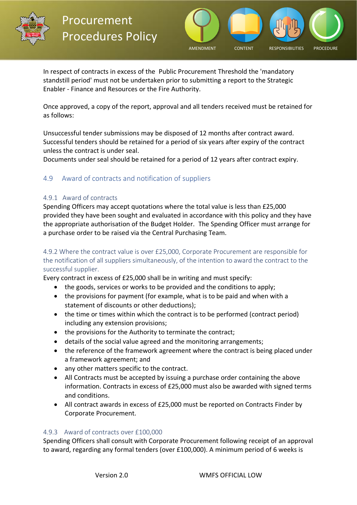



In respect of contracts in excess of the Public Procurement Threshold the 'mandatory standstill period' must not be undertaken prior to submitting a report to the Strategic Enabler - Finance and Resources or the Fire Authority.

Once approved, a copy of the report, approval and all tenders received must be retained for as follows:

Unsuccessful tender submissions may be disposed of 12 months after contract award. Successful tenders should be retained for a period of six years after expiry of the contract unless the contract is under seal.

Documents under seal should be retained for a period of 12 years after contract expiry.

#### <span id="page-18-0"></span>4.9     Award of contracts and notification of suppliers

#### <span id="page-18-1"></span>4.9.1   Award of contracts

Spending Officers may accept quotations where the total value is less than £25,000 provided they have been sought and evaluated in accordance with this policy and they have the appropriate authorisation of the Budget Holder. The Spending Officer must arrange for a purchase order to be raised via the Central Purchasing Team.      

#### <span id="page-18-2"></span>4.9.2 Where the contract value is over £25,000, Corporate Procurement are responsible for the notification of all suppliers simultaneously, of the intention to award the contract to the successful supplier.

Every contract in excess of £25,000 shall be in writing and must specify:

- the goods, services or works to be provided and the conditions to apply;
- the provisions for payment (for example, what is to be paid and when with a statement of discounts or other deductions);
- the time or times within which the contract is to be performed (contract period) including any extension provisions;
- the provisions for the Authority to terminate the contract;
- details of the social value agreed and the monitoring arrangements;
- the reference of the framework agreement where the contract is being placed under a framework agreement; and
- any other matters specific to the contract.
- All Contracts must be accepted by issuing a purchase order containing the above information. Contracts in excess of £25,000 must also be awarded with signed terms and conditions.
- All contract awards in excess of £25,000 must be reported on Contracts Finder by Corporate Procurement.

#### <span id="page-18-3"></span>4.9.3    Award of contracts over £100,000

Spending Officers shall consult with Corporate Procurement following receipt of an approval to award, regarding any formal tenders (over £100,000). A minimum period of 6 weeks is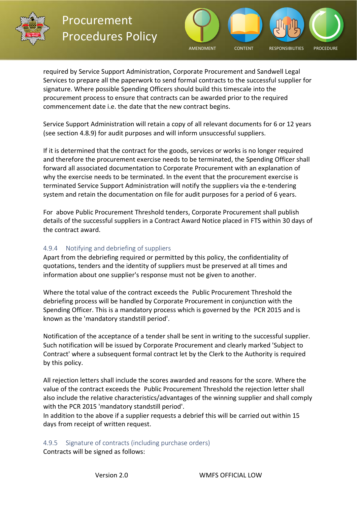



required by Service Support Administration, Corporate Procurement and Sandwell Legal Services to prepare all the paperwork to send formal contracts to the successful supplier for signature. Where possible Spending Officers should build this timescale into the procurement process to ensure that contracts can be awarded prior to the required commencement date i.e. the date that the new contract begins.

Service Support Administration will retain a copy of all relevant documents for 6 or 12 years (see section 4.8.9) for audit purposes and will inform unsuccessful suppliers.

If it is determined that the contract for the goods, services or works is no longer required and therefore the procurement exercise needs to be terminated, the Spending Officer shall forward all associated documentation to Corporate Procurement with an explanation of why the exercise needs to be terminated. In the event that the procurement exercise is terminated Service Support Administration will notify the suppliers via the e-tendering system and retain the documentation on file for audit purposes for a period of 6 years.

For above Public Procurement Threshold tenders, Corporate Procurement shall publish details of the successful suppliers in a Contract Award Notice placed in FTS within 30 days of the contract award.

#### <span id="page-19-0"></span>4.9.4     Notifying and debriefing of suppliers

Apart from the debriefing required or permitted by this policy, the confidentiality of quotations, tenders and the identity of suppliers must be preserved at all times and information about one supplier's response must not be given to another.

Where the total value of the contract exceeds the Public Procurement Threshold the debriefing process will be handled by Corporate Procurement in conjunction with the Spending Officer. This is a mandatory process which is governed by the PCR 2015 and is known as the 'mandatory standstill period'.

Notification of the acceptance of a tender shall be sent in writing to the successful supplier. Such notification will be issued by Corporate Procurement and clearly marked 'Subject to Contract' where a subsequent formal contract let by the Clerk to the Authority is required by this policy.

All rejection letters shall include the scores awarded and reasons for the score. Where the value of the contract exceeds the Public Procurement Threshold the rejection letter shall also include the relative characteristics/advantages of the winning supplier and shall comply with the PCR 2015 'mandatory standstill period'.

In addition to the above if a supplier requests a debrief this will be carried out within 15 days from receipt of written request.

<span id="page-19-1"></span>4.9.5     Signature of contracts (including purchase orders) Contracts will be signed as follows: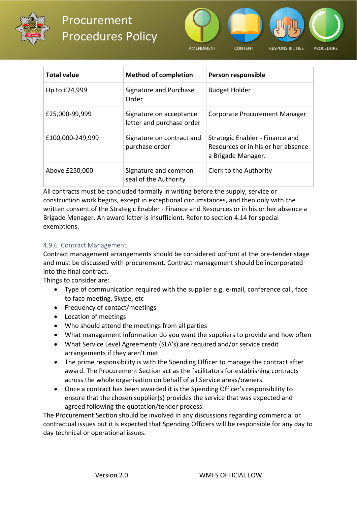



| <b>Total value</b> | <b>Method of completion</b>                          | Person responsible                                                                          |
|--------------------|------------------------------------------------------|---------------------------------------------------------------------------------------------|
| Up to £24,999      | Signature and Purchase<br>Order                      | <b>Budget Holder</b>                                                                        |
| £25,000-99,999     | Signature on acceptance<br>letter and purchase order | Corporate Procurement Manager                                                               |
| £100,000-249,999   | Signature on contract and<br>purchase order          | Strategic Enabler - Finance and<br>Resources or in his or her absence<br>a Brigade Manager. |
| Above £250,000     | Signature and common<br>seal of the Authority        | Clerk to the Authority                                                                      |

All contracts must be concluded formally in writing before the supply, service or construction work begins, except in exceptional circumstances, and then only with the written consent of the Strategic Enabler - Finance and Resources or in his or her absence a Brigade Manager. An award letter is insufficient. Refer to section 4.14 for special exemptions.

#### <span id="page-20-0"></span>4.9.6 Contract Management

Contract management arrangements should be considered upfront at the pre-tender stage and must be discussed with procurement. Contract management should be incorporated into the final contract.

Things to consider are:

- Type of communication required with the supplier e.g. e-mail, conference call, face to face meeting, Skype, etc
- Frequency of contact/meetings
- Location of meetings
- Who should attend the meetings from all parties
- What management information do you want the suppliers to provide and how often
- What Service Level Agreements (SLA's) are required and/or service credit arrangements if they aren't met
- The prime responsibility is with the Spending Officer to manage the contract after award. The Procurement Section act as the facilitators for establishing contracts across the whole organisation on behalf of all Service areas/owners.
- Once a contract has been awarded it is the Spending Officer's responsibility to ensure that the chosen supplier(s) provides the service that was expected and agreed following the quotation/tender process.

The Procurement Section should be involved in any discussions regarding commercial or contractual issues but it is expected that Spending Officers will be responsible for any day to day technical or operational issues.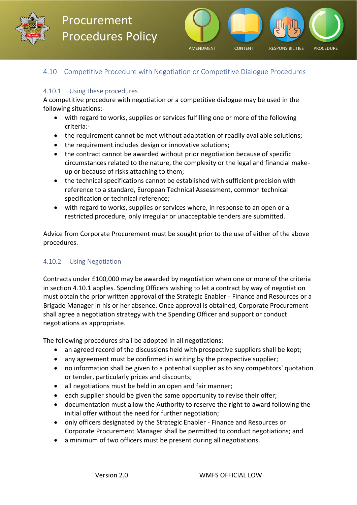



#### <span id="page-21-0"></span>4.10 Competitive Procedure with Negotiation or Competitive Dialogue Procedures

#### <span id="page-21-1"></span>4.10.1     Using these procedures

A competitive procedure with negotiation or a competitive dialogue may be used in the following situations:-

- with regard to works, supplies or services fulfilling one or more of the following criteria:-
- the requirement cannot be met without adaptation of readily available solutions;
- the requirement includes design or innovative solutions;
- the contract cannot be awarded without prior negotiation because of specific circumstances related to the nature, the complexity or the legal and financial makeup or because of risks attaching to them;
- the technical specifications cannot be established with sufficient precision with reference to a standard, European Technical Assessment, common technical specification or technical reference;
- with regard to works, supplies or services where, in response to an open or a restricted procedure, only irregular or unacceptable tenders are submitted.

Advice from Corporate Procurement must be sought prior to the use of either of the above procedures.

#### <span id="page-21-2"></span>4.10.2     Using Negotiation

Contracts under £100,000 may be awarded by negotiation when one or more of the criteria in section 4.10.1 applies. Spending Officers wishing to let a contract by way of negotiation must obtain the prior written approval of the Strategic Enabler - Finance and Resources or a Brigade Manager in his or her absence. Once approval is obtained, Corporate Procurement shall agree a negotiation strategy with the Spending Officer and support or conduct negotiations as appropriate.

The following procedures shall be adopted in all negotiations:

- an agreed record of the discussions held with prospective suppliers shall be kept;
- any agreement must be confirmed in writing by the prospective supplier;
- no information shall be given to a potential supplier as to any competitors' quotation or tender, particularly prices and discounts;
- all negotiations must be held in an open and fair manner;
- each supplier should be given the same opportunity to revise their offer;
- documentation must allow the Authority to reserve the right to award following the initial offer without the need for further negotiation;
- only officers designated by the Strategic Enabler Finance and Resources or Corporate Procurement Manager shall be permitted to conduct negotiations; and
- a minimum of two officers must be present during all negotiations.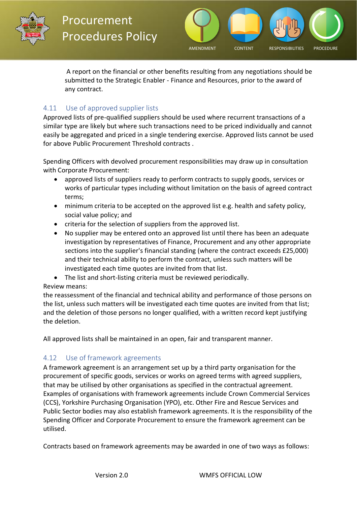



 A report on the financial or other benefits resulting from any negotiations should be submitted to the Strategic Enabler - Finance and Resources, prior to the award of any contract.     

#### <span id="page-22-0"></span>4.11     Use of approved supplier lists

Approved lists of pre-qualified suppliers should be used where recurrent transactions of a similar type are likely but where such transactions need to be priced individually and cannot easily be aggregated and priced in a single tendering exercise. Approved lists cannot be used for above Public Procurement Threshold contracts .

Spending Officers with devolved procurement responsibilities may draw up in consultation with Corporate Procurement:

- approved lists of suppliers ready to perform contracts to supply goods, services or works of particular types including without limitation on the basis of agreed contract terms;
- minimum criteria to be accepted on the approved list e.g. health and safety policy, social value policy; and
- criteria for the selection of suppliers from the approved list.
- No supplier may be entered onto an approved list until there has been an adequate investigation by representatives of Finance, Procurement and any other appropriate sections into the supplier's financial standing (where the contract exceeds £25,000) and their technical ability to perform the contract, unless such matters will be investigated each time quotes are invited from that list.
- The list and short-listing criteria must be reviewed periodically.

#### Review means:

the reassessment of the financial and technical ability and performance of those persons on the list, unless such matters will be investigated each time quotes are invited from that list; and the deletion of those persons no longer qualified, with a written record kept justifying the deletion.

All approved lists shall be maintained in an open, fair and transparent manner.

#### <span id="page-22-1"></span>4.12     Use of framework agreements

A framework agreement is an arrangement set up by a third party organisation for the procurement of specific goods, services or works on agreed terms with agreed suppliers, that may be utilised by other organisations as specified in the contractual agreement. Examples of organisations with framework agreements include Crown Commercial Services (CCS), Yorkshire Purchasing Organisation (YPO), etc. Other Fire and Rescue Services and Public Sector bodies may also establish framework agreements. It is the responsibility of the Spending Officer and Corporate Procurement to ensure the framework agreement can be utilised.

Contracts based on framework agreements may be awarded in one of two ways as follows: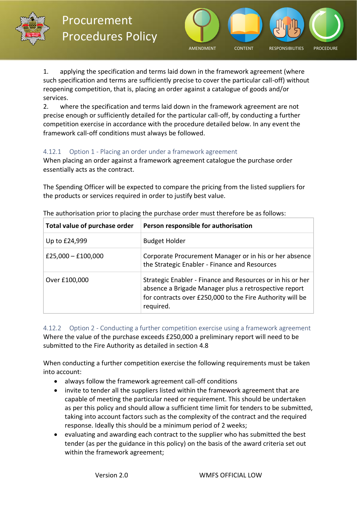



1. applying the specification and terms laid down in the framework agreement (where such specification and terms are sufficiently precise to cover the particular call-off) without reopening competition, that is, placing an order against a catalogue of goods and/or services.

2.       where the specification and terms laid down in the framework agreement are not precise enough or sufficiently detailed for the particular call-off, by conducting a further competition exercise in accordance with the procedure detailed below. In any event the framework call-off conditions must always be followed.

#### <span id="page-23-0"></span>4.12.1     Option 1 - Placing an order under a framework agreement

When placing an order against a framework agreement catalogue the purchase order essentially acts as the contract.

The Spending Officer will be expected to compare the pricing from the listed suppliers for the products or services required in order to justify best value.

| Total value of purchase order | Person responsible for authorisation                                                                                                                                                          |
|-------------------------------|-----------------------------------------------------------------------------------------------------------------------------------------------------------------------------------------------|
| Up to £24,999                 | <b>Budget Holder</b>                                                                                                                                                                          |
| £25,000 $-$ £100,000          | Corporate Procurement Manager or in his or her absence<br>the Strategic Enabler - Finance and Resources                                                                                       |
| Over £100,000                 | Strategic Enabler - Finance and Resources or in his or her<br>absence a Brigade Manager plus a retrospective report<br>for contracts over £250,000 to the Fire Authority will be<br>required. |

The authorisation prior to placing the purchase order must therefore be as follows:

<span id="page-23-1"></span>4.12.2     Option 2 - Conducting a further competition exercise using a framework agreement Where the value of the purchase exceeds £250,000 a preliminary report will need to be submitted to the Fire Authority as detailed in section 4.8

When conducting a further competition exercise the following requirements must be taken into account:

- always follow the framework agreement call-off conditions
- invite to tender all the suppliers listed within the framework agreement that are capable of meeting the particular need or requirement. This should be undertaken as per this policy and should allow a sufficient time limit for tenders to be submitted, taking into account factors such as the complexity of the contract and the required response. Ideally this should be a minimum period of 2 weeks;
- evaluating and awarding each contract to the supplier who has submitted the best tender (as per the guidance in this policy) on the basis of the award criteria set out within the framework agreement;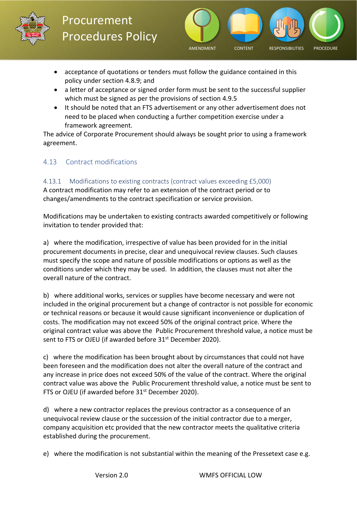



- acceptance of quotations or tenders must follow the guidance contained in this policy under section 4.8.9; and
- a letter of acceptance or signed order form must be sent to the successful supplier which must be signed as per the provisions of section 4.9.5
- It should be noted that an FTS advertisement or any other advertisement does not need to be placed when conducting a further competition exercise under a framework agreement.

The advice of Corporate Procurement should always be sought prior to using a framework agreement.

#### <span id="page-24-0"></span>4.13     Contract modifications

#### <span id="page-24-1"></span>4.13.1     Modifications to existing contracts (contract values exceeding £5,000)

A contract modification may refer to an extension of the contract period or to changes/amendments to the contract specification or service provision.

Modifications may be undertaken to existing contracts awarded competitively or following invitation to tender provided that:

a) where the modification, irrespective of value has been provided for in the initial procurement documents in precise, clear and unequivocal review clauses. Such clauses must specify the scope and nature of possible modifications or options as well as the conditions under which they may be used. In addition, the clauses must not alter the overall nature of the contract.

b) where additional works, services or supplies have become necessary and were not included in the original procurement but a change of contractor is not possible for economic or technical reasons or because it would cause significant inconvenience or duplication of costs. The modification may not exceed 50% of the original contract price. Where the original contract value was above the Public Procurement threshold value, a notice must be sent to FTS or OJEU (if awarded before 31<sup>st</sup> December 2020).

c) where the modification has been brought about by circumstances that could not have been foreseen and the modification does not alter the overall nature of the contract and any increase in price does not exceed 50% of the value of the contract. Where the original contract value was above the Public Procurement threshold value, a notice must be sent to FTS or OJEU (if awarded before 31<sup>st</sup> December 2020).

d) where a new contractor replaces the previous contractor as a consequence of an unequivocal review clause or the succession of the initial contractor due to a merger, company acquisition etc provided that the new contractor meets the qualitative criteria established during the procurement.

e) where the modification is not substantial within the meaning of the Pressetext case e.g.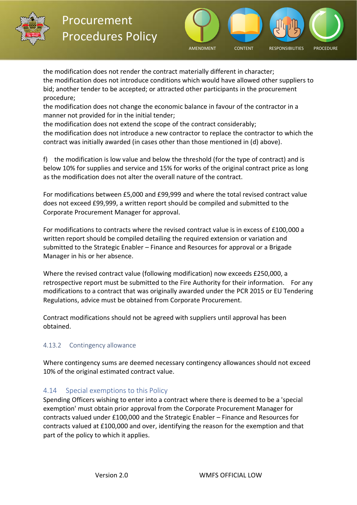



the modification does not render the contract materially different in character; the modification does not introduce conditions which would have allowed other suppliers to bid; another tender to be accepted; or attracted other participants in the procurement procedure;

the modification does not change the economic balance in favour of the contractor in a manner not provided for in the initial tender;

the modification does not extend the scope of the contract considerably;

the modification does not introduce a new contractor to replace the contractor to which the contract was initially awarded (in cases other than those mentioned in (d) above).

f) the modification is low value and below the threshold (for the type of contract) and is below 10% for supplies and service and 15% for works of the original contract price as long as the modification does not alter the overall nature of the contract.

For modifications between £5,000 and £99,999 and where the total revised contract value does not exceed £99,999, a written report should be compiled and submitted to the Corporate Procurement Manager for approval.

For modifications to contracts where the revised contract value is in excess of £100,000 a written report should be compiled detailing the required extension or variation and submitted to the Strategic Enabler – Finance and Resources for approval or a Brigade Manager in his or her absence.

Where the revised contract value (following modification) now exceeds £250,000, a retrospective report must be submitted to the Fire Authority for their information.    For any modifications to a contract that was originally awarded under the PCR 2015 or EU Tendering Regulations, advice must be obtained from Corporate Procurement.

Contract modifications should not be agreed with suppliers until approval has been obtained.

#### <span id="page-25-0"></span>4.13.2     Contingency allowance

Where contingency sums are deemed necessary contingency allowances should not exceed 10% of the original estimated contract value.

#### <span id="page-25-1"></span>4.14     Special exemptions to this Policy

Spending Officers wishing to enter into a contract where there is deemed to be a 'special exemption' must obtain prior approval from the Corporate Procurement Manager for contracts valued under £100,000 and the Strategic Enabler – Finance and Resources for contracts valued at £100,000 and over, identifying the reason for the exemption and that part of the policy to which it applies.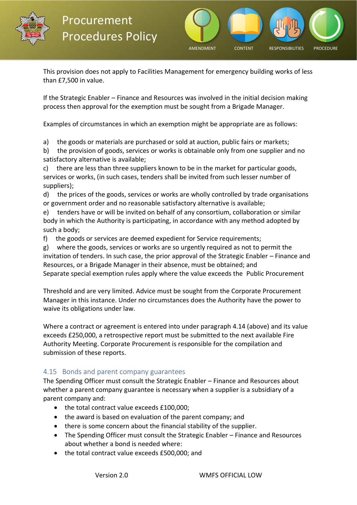



This provision does not apply to Facilities Management for emergency building works of less than £7,500 in value.

If the Strategic Enabler – Finance and Resources was involved in the initial decision making process then approval for the exemption must be sought from a Brigade Manager.

Examples of circumstances in which an exemption might be appropriate are as follows:

a)     the goods or materials are purchased or sold at auction, public fairs or markets;

b) the provision of goods, services or works is obtainable only from one supplier and no satisfactory alternative is available;

c)     there are less than three suppliers known to be in the market for particular goods, services or works, (in such cases, tenders shall be invited from such lesser number of suppliers);

d)     the prices of the goods, services or works are wholly controlled by trade organisations or government order and no reasonable satisfactory alternative is available;

e)     tenders have or will be invited on behalf of any consortium, collaboration or similar body in which the Authority is participating, in accordance with any method adopted by such a body;

f)     the goods or services are deemed expedient for Service requirements;

g)     where the goods, services or works are so urgently required as not to permit the invitation of tenders. In such case, the prior approval of the Strategic Enabler – Finance and Resources, or a Brigade Manager in their absence, must be obtained; and Separate special exemption rules apply where the value exceeds the Public Procurement

Threshold and are very limited. Advice must be sought from the Corporate Procurement Manager in this instance. Under no circumstances does the Authority have the power to waive its obligations under law.

Where a contract or agreement is entered into under paragraph 4.14 (above) and its value exceeds £250,000, a retrospective report must be submitted to the next available Fire Authority Meeting. Corporate Procurement is responsible for the compilation and submission of these reports.

#### <span id="page-26-0"></span>4.15   Bonds and parent company guarantees

The Spending Officer must consult the Strategic Enabler – Finance and Resources about whether a parent company guarantee is necessary when a supplier is a subsidiary of a parent company and:

- the total contract value exceeds £100,000;
- the award is based on evaluation of the parent company; and
- there is some concern about the financial stability of the supplier.
- The Spending Officer must consult the Strategic Enabler Finance and Resources about whether a bond is needed where:
- the total contract value exceeds £500,000; and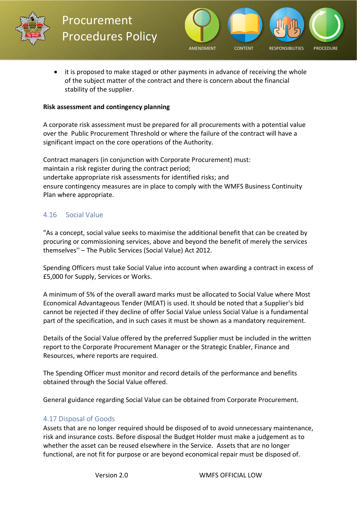



• it is proposed to make staged or other payments in advance of receiving the whole of the subject matter of the contract and there is concern about the financial stability of the supplier.

#### **Risk assessment and contingency planning**

A corporate risk assessment must be prepared for all procurements with a potential value over the Public Procurement Threshold or where the failure of the contract will have a significant impact on the core operations of the Authority.

Contract managers (in conjunction with Corporate Procurement) must: maintain a risk register during the contract period; undertake appropriate risk assessments for identified risks; and ensure contingency measures are in place to comply with the WMFS Business Continuity Plan where appropriate.

#### <span id="page-27-0"></span>4.16     Social Value

"As a concept, social value seeks to maximise the additional benefit that can be created by procuring or commissioning services, above and beyond the benefit of merely the services themselves'' – The Public Services (Social Value) Act 2012.

Spending Officers must take Social Value into account when awarding a contract in excess of £5,000 for Supply, Services or Works.

A minimum of 5% of the overall award marks must be allocated to Social Value where Most Economical Advantageous Tender (MEAT) is used. It should be noted that a Supplier's bid cannot be rejected if they decline of offer Social Value unless Social Value is a fundamental part of the specification, and in such cases it must be shown as a mandatory requirement.

Details of the Social Value offered by the preferred Supplier must be included in the written report to the Corporate Procurement Manager or the Strategic Enabler, Finance and Resources, where reports are required.

The Spending Officer must monitor and record details of the performance and benefits obtained through the Social Value offered.

General guidance regarding Social Value can be obtained from Corporate Procurement.

#### <span id="page-27-1"></span>4.17 Disposal of Goods

Assets that are no longer required should be disposed of to avoid unnecessary maintenance, risk and insurance costs. Before disposal the Budget Holder must make a judgement as to whether the asset can be reused elsewhere in the Service. Assets that are no longer functional, are not fit for purpose or are beyond economical repair must be disposed of.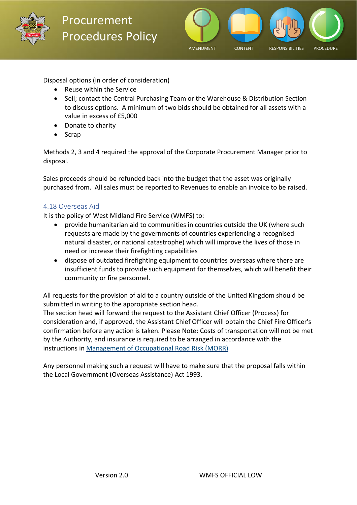



Disposal options (in order of consideration)

- Reuse within the Service
- Sell; contact the Central Purchasing Team or the Warehouse & Distribution Section to discuss options. A minimum of two bids should be obtained for all assets with a value in excess of £5,000
- Donate to charity
- Scrap

Methods 2, 3 and 4 required the approval of the Corporate Procurement Manager prior to disposal.

Sales proceeds should be refunded back into the budget that the asset was originally purchased from. All sales must be reported to Revenues to enable an invoice to be raised.

#### <span id="page-28-0"></span>4.18 Overseas Aid

It is the policy of West Midland Fire Service (WMFS) to:

- provide humanitarian aid to communities in countries outside the UK (where such requests are made by the governments of countries experiencing a recognised natural disaster, or national catastrophe) which will improve the lives of those in need or increase their firefighting capabilities
- dispose of outdated firefighting equipment to countries overseas where there are insufficient funds to provide such equipment for themselves, which will benefit their community or fire personnel.

All requests for the provision of aid to a country outside of the United Kingdom should be submitted in writing to the appropriate section head.

The section head will forward the request to the Assistant Chief Officer (Process) for consideration and, if approved, the Assistant Chief Officer will obtain the Chief Fire Officer's confirmation before any action is taken. Please Note: Costs of transportation will not be met by the Authority, and insurance is required to be arranged in accordance with the instructions in Management of Occupational Road Risk (MORR)

Any personnel making such a request will have to make sure that the proposal falls within the Local Government (Overseas Assistance) Act 1993.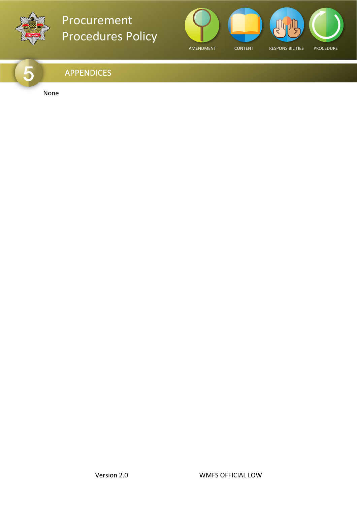



### <span id="page-29-0"></span>APPENDICES

None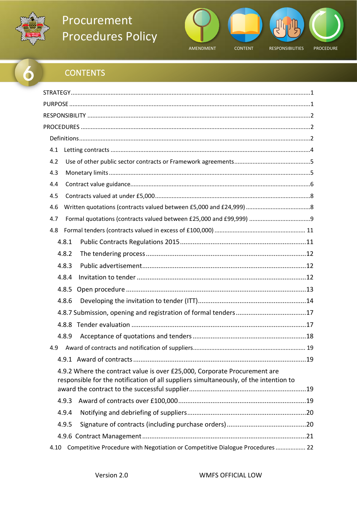



### **CONTENTS**

<span id="page-30-0"></span>

| 4.1<br>4.2<br>4.3<br>4.4<br>4.5                                                                                                                                    |
|--------------------------------------------------------------------------------------------------------------------------------------------------------------------|
|                                                                                                                                                                    |
|                                                                                                                                                                    |
|                                                                                                                                                                    |
|                                                                                                                                                                    |
|                                                                                                                                                                    |
|                                                                                                                                                                    |
|                                                                                                                                                                    |
|                                                                                                                                                                    |
|                                                                                                                                                                    |
| 4.6                                                                                                                                                                |
| 4.7                                                                                                                                                                |
| 4.8                                                                                                                                                                |
| 4.8.1                                                                                                                                                              |
| 4.8.2                                                                                                                                                              |
| 4.8.3                                                                                                                                                              |
| 4.8.4                                                                                                                                                              |
| 4.8.5                                                                                                                                                              |
| 4.8.6                                                                                                                                                              |
|                                                                                                                                                                    |
|                                                                                                                                                                    |
| 4.8.9                                                                                                                                                              |
| 4.9                                                                                                                                                                |
|                                                                                                                                                                    |
| 4.9.2 Where the contract value is over £25,000, Corporate Procurement are<br>responsible for the notification of all suppliers simultaneously, of the intention to |
| 4.9.3                                                                                                                                                              |
| 4.9.4                                                                                                                                                              |
|                                                                                                                                                                    |
| 4.9.5                                                                                                                                                              |
| Competitive Procedure with Negotiation or Competitive Dialogue Procedures  22<br>4.10                                                                              |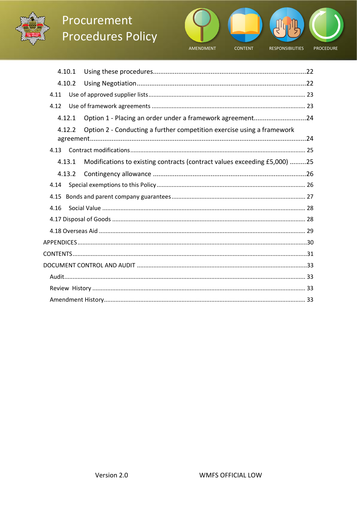



| 4.10.1 |                                                                           |
|--------|---------------------------------------------------------------------------|
| 4.10.2 |                                                                           |
| 4.11   |                                                                           |
| 4.12   |                                                                           |
| 4.12.1 | Option 1 - Placing an order under a framework agreement24                 |
| 4.12.2 | Option 2 - Conducting a further competition exercise using a framework    |
| 4.13   |                                                                           |
| 4.13.1 | Modifications to existing contracts (contract values exceeding £5,000) 25 |
| 4.13.2 |                                                                           |
| 4.14   |                                                                           |
| 4.15   |                                                                           |
| 4.16   |                                                                           |
|        |                                                                           |
|        |                                                                           |
|        |                                                                           |
|        |                                                                           |
|        |                                                                           |
|        |                                                                           |
|        |                                                                           |
|        |                                                                           |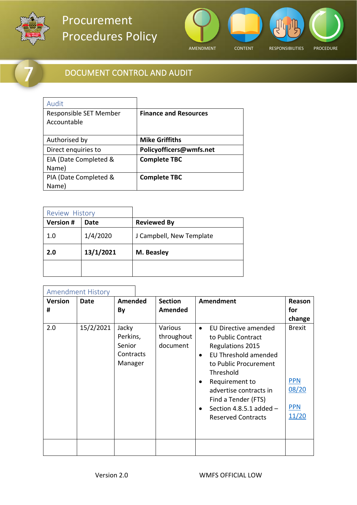

<span id="page-32-2"></span><span id="page-32-1"></span> $\mathbf{r}$ 

# Procurement Procedures Policy



### DOCUMENT CONTROL AND AUDIT

| Audit                                 |                              |
|---------------------------------------|------------------------------|
| Responsible SET Member<br>Accountable | <b>Finance and Resources</b> |
|                                       |                              |
| Authorised by                         | <b>Mike Griffiths</b>        |
| Direct enquiries to                   | Policyofficers@wmfs.net      |
| EIA (Date Completed &                 | <b>Complete TBC</b>          |
| Name)                                 |                              |
| PIA (Date Completed &                 | <b>Complete TBC</b>          |
| Name)                                 |                              |

<span id="page-32-3"></span>

| <b>Review History</b> |           |                          |
|-----------------------|-----------|--------------------------|
| <b>Version #</b>      | Date      | <b>Reviewed By</b>       |
| 1.0                   | 1/4/2020  | J Campbell, New Template |
| 2.0                   | 13/1/2021 | M. Beasley               |
|                       |           |                          |

<span id="page-32-0"></span>

|                     | <b>Amendment History</b> |                                                     |                                   |                                                                                                                                                                                                                                                                                                       |                                                             |
|---------------------|--------------------------|-----------------------------------------------------|-----------------------------------|-------------------------------------------------------------------------------------------------------------------------------------------------------------------------------------------------------------------------------------------------------------------------------------------------------|-------------------------------------------------------------|
| <b>Version</b><br># | <b>Date</b>              | <b>Amended</b><br>By                                | <b>Section</b><br>Amended         | <b>Amendment</b>                                                                                                                                                                                                                                                                                      | Reason<br>for<br>change                                     |
| 2.0                 | 15/2/2021                | Jacky<br>Perkins,<br>Senior<br>Contracts<br>Manager | Various<br>throughout<br>document | EU Directive amended<br>$\bullet$<br>to Public Contract<br>Regulations 2015<br>EU Threshold amended<br>$\bullet$<br>to Public Procurement<br>Threshold<br>Requirement to<br>٠<br>advertise contracts in<br>Find a Tender (FTS)<br>Section 4.8.5.1 added $-$<br>$\bullet$<br><b>Reserved Contracts</b> | <b>Brexit</b><br><b>PPN</b><br>08/20<br><b>PPN</b><br>11/20 |
|                     |                          |                                                     |                                   |                                                                                                                                                                                                                                                                                                       |                                                             |